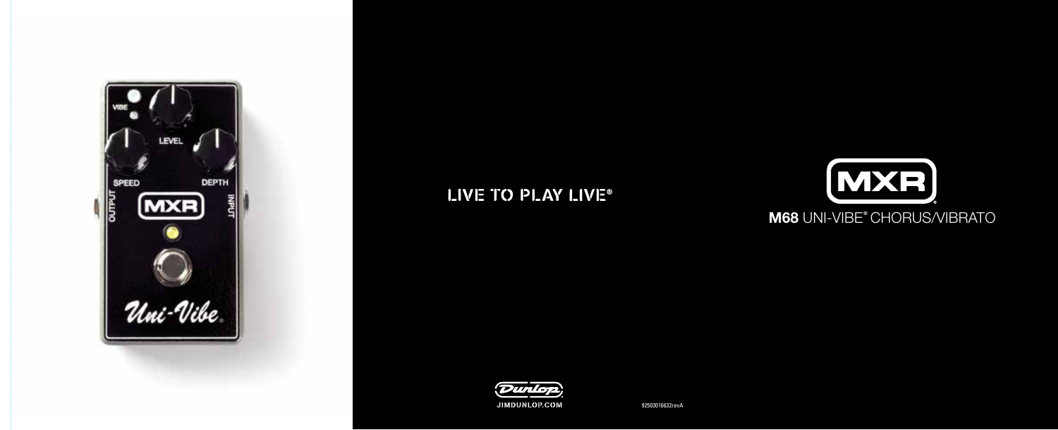

# LIVE TO PLAY LIVE®



## M68 UNI-VIBE® CHORUS/VIBRATO



92503016632revA